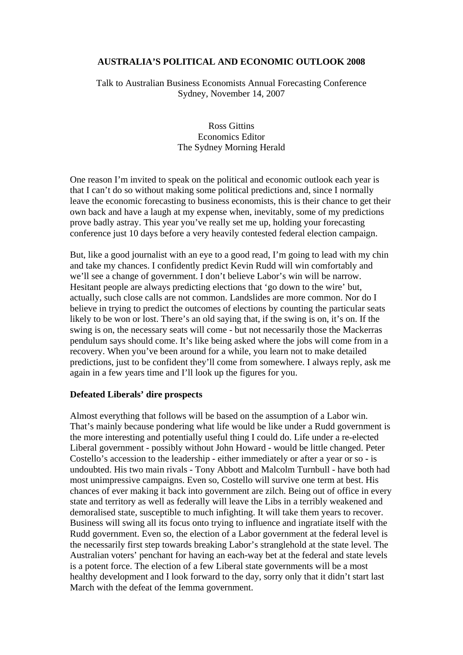# **AUSTRALIA'S POLITICAL AND ECONOMIC OUTLOOK 2008**

Talk to Australian Business Economists Annual Forecasting Conference Sydney, November 14, 2007

> Ross Gittins Economics Editor The Sydney Morning Herald

One reason I'm invited to speak on the political and economic outlook each year is that I can't do so without making some political predictions and, since I normally leave the economic forecasting to business economists, this is their chance to get their own back and have a laugh at my expense when, inevitably, some of my predictions prove badly astray. This year you've really set me up, holding your forecasting conference just 10 days before a very heavily contested federal election campaign.

But, like a good journalist with an eye to a good read, I'm going to lead with my chin and take my chances. I confidently predict Kevin Rudd will win comfortably and we'll see a change of government. I don't believe Labor's win will be narrow. Hesitant people are always predicting elections that 'go down to the wire' but, actually, such close calls are not common. Landslides are more common. Nor do I believe in trying to predict the outcomes of elections by counting the particular seats likely to be won or lost. There's an old saying that, if the swing is on, it's on. If the swing is on, the necessary seats will come - but not necessarily those the Mackerras pendulum says should come. It's like being asked where the jobs will come from in a recovery. When you've been around for a while, you learn not to make detailed predictions, just to be confident they'll come from somewhere. I always reply, ask me again in a few years time and I'll look up the figures for you.

## **Defeated Liberals' dire prospects**

Almost everything that follows will be based on the assumption of a Labor win. That's mainly because pondering what life would be like under a Rudd government is the more interesting and potentially useful thing I could do. Life under a re-elected Liberal government - possibly without John Howard - would be little changed. Peter Costello's accession to the leadership - either immediately or after a year or so - is undoubted. His two main rivals - Tony Abbott and Malcolm Turnbull - have both had most unimpressive campaigns. Even so, Costello will survive one term at best. His chances of ever making it back into government are zilch. Being out of office in every state and territory as well as federally will leave the Libs in a terribly weakened and demoralised state, susceptible to much infighting. It will take them years to recover. Business will swing all its focus onto trying to influence and ingratiate itself with the Rudd government. Even so, the election of a Labor government at the federal level is the necessarily first step towards breaking Labor's stranglehold at the state level. The Australian voters' penchant for having an each-way bet at the federal and state levels is a potent force. The election of a few Liberal state governments will be a most healthy development and I look forward to the day, sorry only that it didn't start last March with the defeat of the Iemma government.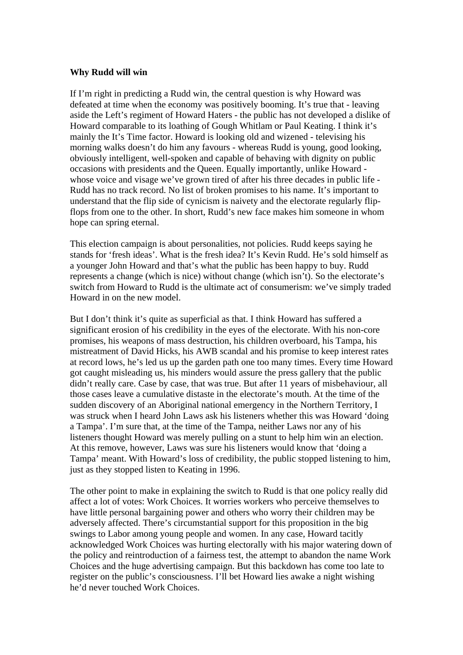### **Why Rudd will win**

If I'm right in predicting a Rudd win, the central question is why Howard was defeated at time when the economy was positively booming. It's true that - leaving aside the Left's regiment of Howard Haters - the public has not developed a dislike of Howard comparable to its loathing of Gough Whitlam or Paul Keating. I think it's mainly the It's Time factor. Howard is looking old and wizened - televising his morning walks doesn't do him any favours - whereas Rudd is young, good looking, obviously intelligent, well-spoken and capable of behaving with dignity on public occasions with presidents and the Queen. Equally importantly, unlike Howard whose voice and visage we've grown tired of after his three decades in public life - Rudd has no track record. No list of broken promises to his name. It's important to understand that the flip side of cynicism is naivety and the electorate regularly flipflops from one to the other. In short, Rudd's new face makes him someone in whom hope can spring eternal.

This election campaign is about personalities, not policies. Rudd keeps saying he stands for 'fresh ideas'. What is the fresh idea? It's Kevin Rudd. He's sold himself as a younger John Howard and that's what the public has been happy to buy. Rudd represents a change (which is nice) without change (which isn't). So the electorate's switch from Howard to Rudd is the ultimate act of consumerism: we've simply traded Howard in on the new model.

But I don't think it's quite as superficial as that. I think Howard has suffered a significant erosion of his credibility in the eyes of the electorate. With his non-core promises, his weapons of mass destruction, his children overboard, his Tampa, his mistreatment of David Hicks, his AWB scandal and his promise to keep interest rates at record lows, he's led us up the garden path one too many times. Every time Howard got caught misleading us, his minders would assure the press gallery that the public didn't really care. Case by case, that was true. But after 11 years of misbehaviour, all those cases leave a cumulative distaste in the electorate's mouth. At the time of the sudden discovery of an Aboriginal national emergency in the Northern Territory, I was struck when I heard John Laws ask his listeners whether this was Howard 'doing a Tampa'. I'm sure that, at the time of the Tampa, neither Laws nor any of his listeners thought Howard was merely pulling on a stunt to help him win an election. At this remove, however, Laws was sure his listeners would know that 'doing a Tampa' meant. With Howard's loss of credibility, the public stopped listening to him, just as they stopped listen to Keating in 1996.

The other point to make in explaining the switch to Rudd is that one policy really did affect a lot of votes: Work Choices. It worries workers who perceive themselves to have little personal bargaining power and others who worry their children may be adversely affected. There's circumstantial support for this proposition in the big swings to Labor among young people and women. In any case, Howard tacitly acknowledged Work Choices was hurting electorally with his major watering down of the policy and reintroduction of a fairness test, the attempt to abandon the name Work Choices and the huge advertising campaign. But this backdown has come too late to register on the public's consciousness. I'll bet Howard lies awake a night wishing he'd never touched Work Choices.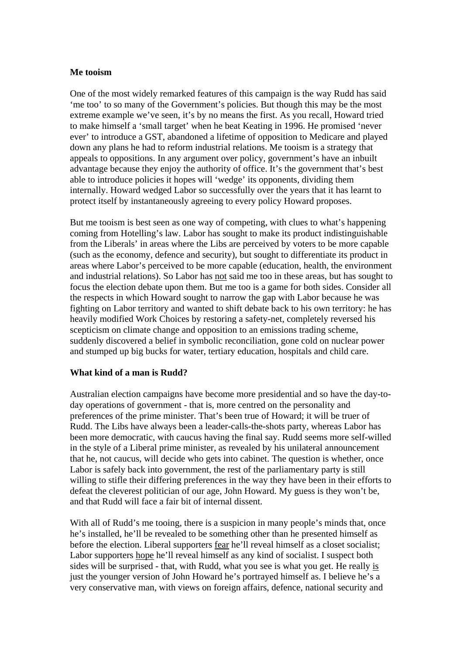### **Me tooism**

One of the most widely remarked features of this campaign is the way Rudd has said 'me too' to so many of the Government's policies. But though this may be the most extreme example we've seen, it's by no means the first. As you recall, Howard tried to make himself a 'small target' when he beat Keating in 1996. He promised 'never ever' to introduce a GST, abandoned a lifetime of opposition to Medicare and played down any plans he had to reform industrial relations. Me tooism is a strategy that appeals to oppositions. In any argument over policy, government's have an inbuilt advantage because they enjoy the authority of office. It's the government that's best able to introduce policies it hopes will 'wedge' its opponents, dividing them internally. Howard wedged Labor so successfully over the years that it has learnt to protect itself by instantaneously agreeing to every policy Howard proposes.

But me tooism is best seen as one way of competing, with clues to what's happening coming from Hotelling's law. Labor has sought to make its product indistinguishable from the Liberals' in areas where the Libs are perceived by voters to be more capable (such as the economy, defence and security), but sought to differentiate its product in areas where Labor's perceived to be more capable (education, health, the environment and industrial relations). So Labor has not said me too in these areas, but has sought to focus the election debate upon them. But me too is a game for both sides. Consider all the respects in which Howard sought to narrow the gap with Labor because he was fighting on Labor territory and wanted to shift debate back to his own territory: he has heavily modified Work Choices by restoring a safety-net, completely reversed his scepticism on climate change and opposition to an emissions trading scheme, suddenly discovered a belief in symbolic reconciliation, gone cold on nuclear power and stumped up big bucks for water, tertiary education, hospitals and child care.

## **What kind of a man is Rudd?**

Australian election campaigns have become more presidential and so have the day-today operations of government - that is, more centred on the personality and preferences of the prime minister. That's been true of Howard; it will be truer of Rudd. The Libs have always been a leader-calls-the-shots party, whereas Labor has been more democratic, with caucus having the final say. Rudd seems more self-willed in the style of a Liberal prime minister, as revealed by his unilateral announcement that he, not caucus, will decide who gets into cabinet. The question is whether, once Labor is safely back into government, the rest of the parliamentary party is still willing to stifle their differing preferences in the way they have been in their efforts to defeat the cleverest politician of our age, John Howard. My guess is they won't be, and that Rudd will face a fair bit of internal dissent.

With all of Rudd's me tooing, there is a suspicion in many people's minds that, once he's installed, he'll be revealed to be something other than he presented himself as before the election. Liberal supporters fear he'll reveal himself as a closet socialist; Labor supporters hope he'll reveal himself as any kind of socialist. I suspect both sides will be surprised - that, with Rudd, what you see is what you get. He really is just the younger version of John Howard he's portrayed himself as. I believe he's a very conservative man, with views on foreign affairs, defence, national security and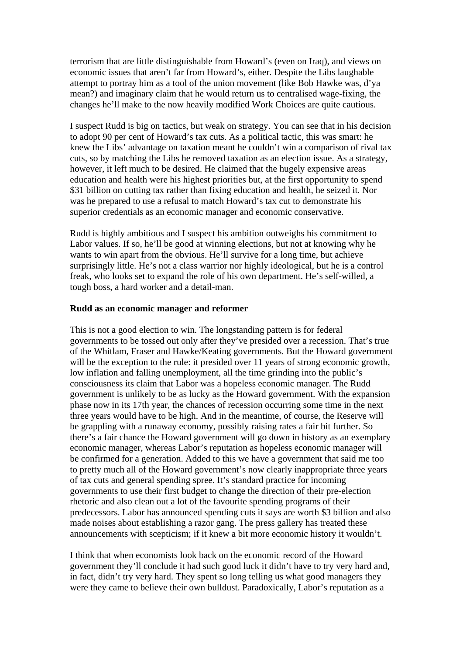terrorism that are little distinguishable from Howard's (even on Iraq), and views on economic issues that aren't far from Howard's, either. Despite the Libs laughable attempt to portray him as a tool of the union movement (like Bob Hawke was, d'ya mean?) and imaginary claim that he would return us to centralised wage-fixing, the changes he'll make to the now heavily modified Work Choices are quite cautious.

I suspect Rudd is big on tactics, but weak on strategy. You can see that in his decision to adopt 90 per cent of Howard's tax cuts. As a political tactic, this was smart: he knew the Libs' advantage on taxation meant he couldn't win a comparison of rival tax cuts, so by matching the Libs he removed taxation as an election issue. As a strategy, however, it left much to be desired. He claimed that the hugely expensive areas education and health were his highest priorities but, at the first opportunity to spend \$31 billion on cutting tax rather than fixing education and health, he seized it. Nor was he prepared to use a refusal to match Howard's tax cut to demonstrate his superior credentials as an economic manager and economic conservative.

Rudd is highly ambitious and I suspect his ambition outweighs his commitment to Labor values. If so, he'll be good at winning elections, but not at knowing why he wants to win apart from the obvious. He'll survive for a long time, but achieve surprisingly little. He's not a class warrior nor highly ideological, but he is a control freak, who looks set to expand the role of his own department. He's self-willed, a tough boss, a hard worker and a detail-man.

#### **Rudd as an economic manager and reformer**

This is not a good election to win. The longstanding pattern is for federal governments to be tossed out only after they've presided over a recession. That's true of the Whitlam, Fraser and Hawke/Keating governments. But the Howard government will be the exception to the rule: it presided over 11 years of strong economic growth, low inflation and falling unemployment, all the time grinding into the public's consciousness its claim that Labor was a hopeless economic manager. The Rudd government is unlikely to be as lucky as the Howard government. With the expansion phase now in its 17th year, the chances of recession occurring some time in the next three years would have to be high. And in the meantime, of course, the Reserve will be grappling with a runaway economy, possibly raising rates a fair bit further. So there's a fair chance the Howard government will go down in history as an exemplary economic manager, whereas Labor's reputation as hopeless economic manager will be confirmed for a generation. Added to this we have a government that said me too to pretty much all of the Howard government's now clearly inappropriate three years of tax cuts and general spending spree. It's standard practice for incoming governments to use their first budget to change the direction of their pre-election rhetoric and also clean out a lot of the favourite spending programs of their predecessors. Labor has announced spending cuts it says are worth \$3 billion and also made noises about establishing a razor gang. The press gallery has treated these announcements with scepticism; if it knew a bit more economic history it wouldn't.

I think that when economists look back on the economic record of the Howard government they'll conclude it had such good luck it didn't have to try very hard and, in fact, didn't try very hard. They spent so long telling us what good managers they were they came to believe their own bulldust. Paradoxically, Labor's reputation as a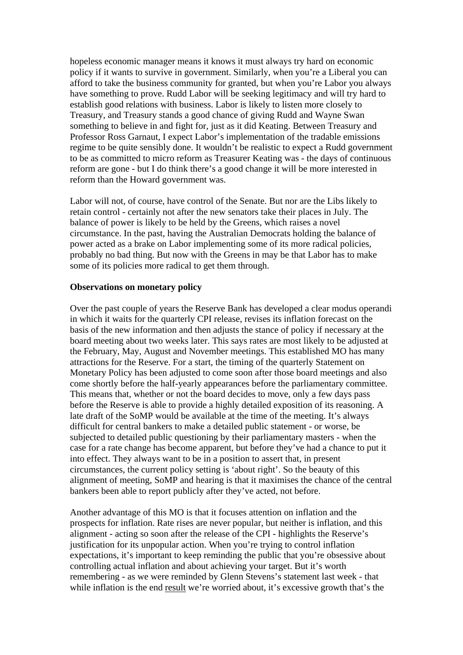hopeless economic manager means it knows it must always try hard on economic policy if it wants to survive in government. Similarly, when you're a Liberal you can afford to take the business community for granted, but when you're Labor you always have something to prove. Rudd Labor will be seeking legitimacy and will try hard to establish good relations with business. Labor is likely to listen more closely to Treasury, and Treasury stands a good chance of giving Rudd and Wayne Swan something to believe in and fight for, just as it did Keating. Between Treasury and Professor Ross Garnaut, I expect Labor's implementation of the tradable emissions regime to be quite sensibly done. It wouldn't be realistic to expect a Rudd government to be as committed to micro reform as Treasurer Keating was - the days of continuous reform are gone - but I do think there's a good change it will be more interested in reform than the Howard government was.

Labor will not, of course, have control of the Senate. But nor are the Libs likely to retain control - certainly not after the new senators take their places in July. The balance of power is likely to be held by the Greens, which raises a novel circumstance. In the past, having the Australian Democrats holding the balance of power acted as a brake on Labor implementing some of its more radical policies, probably no bad thing. But now with the Greens in may be that Labor has to make some of its policies more radical to get them through.

## **Observations on monetary policy**

Over the past couple of years the Reserve Bank has developed a clear modus operandi in which it waits for the quarterly CPI release, revises its inflation forecast on the basis of the new information and then adjusts the stance of policy if necessary at the board meeting about two weeks later. This says rates are most likely to be adjusted at the February, May, August and November meetings. This established MO has many attractions for the Reserve. For a start, the timing of the quarterly Statement on Monetary Policy has been adjusted to come soon after those board meetings and also come shortly before the half-yearly appearances before the parliamentary committee. This means that, whether or not the board decides to move, only a few days pass before the Reserve is able to provide a highly detailed exposition of its reasoning. A late draft of the SoMP would be available at the time of the meeting. It's always difficult for central bankers to make a detailed public statement - or worse, be subjected to detailed public questioning by their parliamentary masters - when the case for a rate change has become apparent, but before they've had a chance to put it into effect. They always want to be in a position to assert that, in present circumstances, the current policy setting is 'about right'. So the beauty of this alignment of meeting, SoMP and hearing is that it maximises the chance of the central bankers been able to report publicly after they've acted, not before.

Another advantage of this MO is that it focuses attention on inflation and the prospects for inflation. Rate rises are never popular, but neither is inflation, and this alignment - acting so soon after the release of the CPI - highlights the Reserve's justification for its unpopular action. When you're trying to control inflation expectations, it's important to keep reminding the public that you're obsessive about controlling actual inflation and about achieving your target. But it's worth remembering - as we were reminded by Glenn Stevens's statement last week - that while inflation is the end result we're worried about, it's excessive growth that's the